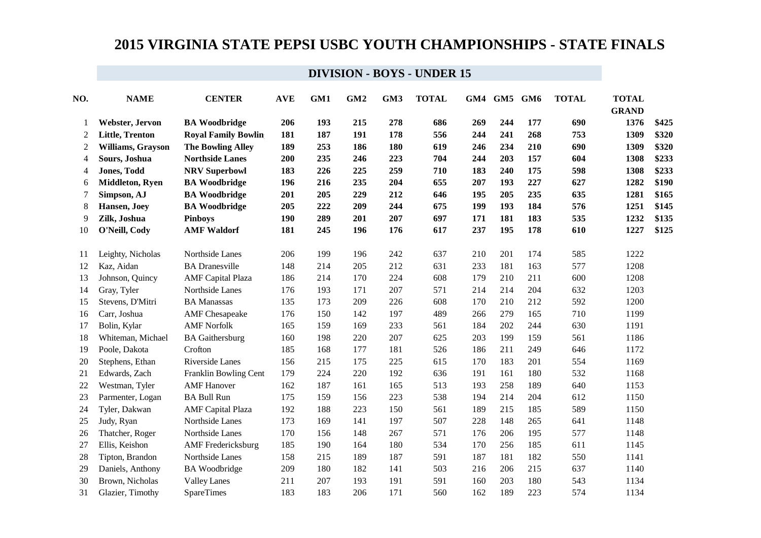| NO.            | <b>NAME</b>            | <b>CENTER</b>              | <b>AVE</b> | GM1 | GM <sub>2</sub> | GM3 | <b>TOTAL</b> | GM4 | GM5 GM6 |     | <b>TOTAL</b> | <b>TOTAL</b><br><b>GRAND</b> |       |
|----------------|------------------------|----------------------------|------------|-----|-----------------|-----|--------------|-----|---------|-----|--------------|------------------------------|-------|
|                | Webster, Jervon        | <b>BA Woodbridge</b>       | 206        | 193 | 215             | 278 | 686          | 269 | 244     | 177 | 690          | 1376                         | \$425 |
| 2              | <b>Little, Trenton</b> | <b>Royal Family Bowlin</b> | 181        | 187 | 191             | 178 | 556          | 244 | 241     | 268 | 753          | 1309                         | \$320 |
| 2              | Williams, Grayson      | <b>The Bowling Alley</b>   | 189        | 253 | 186             | 180 | 619          | 246 | 234     | 210 | 690          | 1309                         | \$320 |
| 4              | Sours, Joshua          | <b>Northside Lanes</b>     | 200        | 235 | 246             | 223 | 704          | 244 | 203     | 157 | 604          | 1308                         | \$233 |
| $\overline{4}$ | <b>Jones, Todd</b>     | <b>NRV Superbowl</b>       | 183        | 226 | 225             | 259 | 710          | 183 | 240     | 175 | 598          | 1308                         | \$233 |
| 6              | Middleton, Ryen        | <b>BA Woodbridge</b>       | 196        | 216 | 235             | 204 | 655          | 207 | 193     | 227 | 627          | 1282                         | \$190 |
| $\overline{7}$ | Simpson, AJ            | <b>BA Woodbridge</b>       | 201        | 205 | 229             | 212 | 646          | 195 | 205     | 235 | 635          | 1281                         | \$165 |
| 8              | Hansen, Joey           | <b>BA Woodbridge</b>       | 205        | 222 | 209             | 244 | 675          | 199 | 193     | 184 | 576          | 1251                         | \$145 |
| 9              | Zilk, Joshua           | <b>Pinboys</b>             | 190        | 289 | 201             | 207 | 697          | 171 | 181     | 183 | 535          | 1232                         | \$135 |
| 10             | O'Neill, Cody          | <b>AMF Waldorf</b>         | 181        | 245 | 196             | 176 | 617          | 237 | 195     | 178 | 610          | 1227                         | \$125 |
| 11             | Leighty, Nicholas      | Northside Lanes            | 206        | 199 | 196             | 242 | 637          | 210 | 201     | 174 | 585          | 1222                         |       |
| 12             | Kaz, Aidan             | <b>BA</b> Dranesville      | 148        | 214 | 205             | 212 | 631          | 233 | 181     | 163 | 577          | 1208                         |       |
| 13             | Johnson, Quincy        | <b>AMF</b> Capital Plaza   | 186        | 214 | 170             | 224 | 608          | 179 | 210     | 211 | 600          | 1208                         |       |
| 14             | Gray, Tyler            | Northside Lanes            | 176        | 193 | 171             | 207 | 571          | 214 | 214     | 204 | 632          | 1203                         |       |
| 15             | Stevens, D'Mitri       | <b>BA</b> Manassas         | 135        | 173 | 209             | 226 | 608          | 170 | 210     | 212 | 592          | 1200                         |       |
| 16             | Carr, Joshua           | <b>AMF</b> Chesapeake      | 176        | 150 | 142             | 197 | 489          | 266 | 279     | 165 | 710          | 1199                         |       |
| 17             | Bolin, Kylar           | <b>AMF Norfolk</b>         | 165        | 159 | 169             | 233 | 561          | 184 | 202     | 244 | 630          | 1191                         |       |
| 18             | Whiteman, Michael      | <b>BA</b> Gaithersburg     | 160        | 198 | 220             | 207 | 625          | 203 | 199     | 159 | 561          | 1186                         |       |
| 19             | Poole, Dakota          | Crofton                    | 185        | 168 | 177             | 181 | 526          | 186 | 211     | 249 | 646          | 1172                         |       |
| 20             | Stephens, Ethan        | Riverside Lanes            | 156        | 215 | 175             | 225 | 615          | 170 | 183     | 201 | 554          | 1169                         |       |
| 21             | Edwards, Zach          | Franklin Bowling Cent      | 179        | 224 | 220             | 192 | 636          | 191 | 161     | 180 | 532          | 1168                         |       |
| 22             | Westman, Tyler         | <b>AMF</b> Hanover         | 162        | 187 | 161             | 165 | 513          | 193 | 258     | 189 | 640          | 1153                         |       |
| 23             | Parmenter, Logan       | <b>BA Bull Run</b>         | 175        | 159 | 156             | 223 | 538          | 194 | 214     | 204 | 612          | 1150                         |       |
| 24             | Tyler, Dakwan          | <b>AMF</b> Capital Plaza   | 192        | 188 | 223             | 150 | 561          | 189 | 215     | 185 | 589          | 1150                         |       |
| 25             | Judy, Ryan             | Northside Lanes            | 173        | 169 | 141             | 197 | 507          | 228 | 148     | 265 | 641          | 1148                         |       |
| 26             | Thatcher, Roger        | Northside Lanes            | 170        | 156 | 148             | 267 | 571          | 176 | 206     | 195 | 577          | 1148                         |       |
| 27             | Ellis, Keishon         | <b>AMF</b> Fredericksburg  | 185        | 190 | 164             | 180 | 534          | 170 | 256     | 185 | 611          | 1145                         |       |
| 28             | Tipton, Brandon        | Northside Lanes            | 158        | 215 | 189             | 187 | 591          | 187 | 181     | 182 | 550          | 1141                         |       |
| 29             | Daniels, Anthony       | <b>BA</b> Woodbridge       | 209        | 180 | 182             | 141 | 503          | 216 | 206     | 215 | 637          | 1140                         |       |
| 30             | Brown, Nicholas        | <b>Valley Lanes</b>        | 211        | 207 | 193             | 191 | 591          | 160 | 203     | 180 | 543          | 1134                         |       |
| 31             | Glazier, Timothy       | <b>SpareTimes</b>          | 183        | 183 | 206             | 171 | 560          | 162 | 189     | 223 | 574          | 1134                         |       |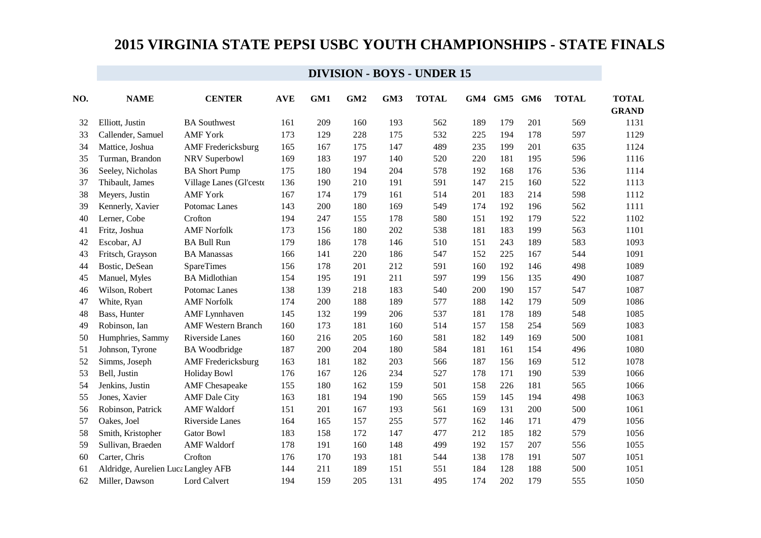| NO. | <b>NAME</b>                         | <b>CENTER</b>             | <b>AVE</b> | GM1 | GM <sub>2</sub> | GM3 | <b>TOTAL</b> | GM4 | GM5 | GM6 | <b>TOTAL</b> | <b>TOTAL</b> |
|-----|-------------------------------------|---------------------------|------------|-----|-----------------|-----|--------------|-----|-----|-----|--------------|--------------|
|     |                                     |                           |            |     |                 |     |              |     |     |     |              | <b>GRAND</b> |
| 32  | Elliott. Justin                     | <b>BA Southwest</b>       | 161        | 209 | 160             | 193 | 562          | 189 | 179 | 201 | 569          | 1131         |
| 33  | Callender, Samuel                   | <b>AMF York</b>           | 173        | 129 | 228             | 175 | 532          | 225 | 194 | 178 | 597          | 1129         |
| 34  | Mattice, Joshua                     | <b>AMF</b> Fredericksburg | 165        | 167 | 175             | 147 | 489          | 235 | 199 | 201 | 635          | 1124         |
| 35  | Turman, Brandon                     | NRV Superbowl             | 169        | 183 | 197             | 140 | 520          | 220 | 181 | 195 | 596          | 1116         |
| 36  | Seeley, Nicholas                    | <b>BA Short Pump</b>      | 175        | 180 | 194             | 204 | 578          | 192 | 168 | 176 | 536          | 1114         |
| 37  | Thibault, James                     | Village Lanes (Gl'ceste   | 136        | 190 | 210             | 191 | 591          | 147 | 215 | 160 | 522          | 1113         |
| 38  | Meyers, Justin                      | <b>AMF York</b>           | 167        | 174 | 179             | 161 | 514          | 201 | 183 | 214 | 598          | 1112         |
| 39  | Kennerly, Xavier                    | Potomac Lanes             | 143        | 200 | 180             | 169 | 549          | 174 | 192 | 196 | 562          | 1111         |
| 40  | Lerner, Cobe                        | Crofton                   | 194        | 247 | 155             | 178 | 580          | 151 | 192 | 179 | 522          | 1102         |
| 41  | Fritz, Joshua                       | <b>AMF Norfolk</b>        | 173        | 156 | 180             | 202 | 538          | 181 | 183 | 199 | 563          | 1101         |
| 42  | Escobar, AJ                         | <b>BA Bull Run</b>        | 179        | 186 | 178             | 146 | 510          | 151 | 243 | 189 | 583          | 1093         |
| 43  | Fritsch, Grayson                    | <b>BA</b> Manassas        | 166        | 141 | 220             | 186 | 547          | 152 | 225 | 167 | 544          | 1091         |
| 44  | Bostic, DeSean                      | <b>SpareTimes</b>         | 156        | 178 | 201             | 212 | 591          | 160 | 192 | 146 | 498          | 1089         |
| 45  | Manuel, Myles                       | <b>BA</b> Midlothian      | 154        | 195 | 191             | 211 | 597          | 199 | 156 | 135 | 490          | 1087         |
| 46  | Wilson, Robert                      | Potomac Lanes             | 138        | 139 | 218             | 183 | 540          | 200 | 190 | 157 | 547          | 1087         |
| 47  | White, Ryan                         | <b>AMF Norfolk</b>        | 174        | 200 | 188             | 189 | 577          | 188 | 142 | 179 | 509          | 1086         |
| 48  | Bass, Hunter                        | <b>AMF</b> Lynnhaven      | 145        | 132 | 199             | 206 | 537          | 181 | 178 | 189 | 548          | 1085         |
| 49  | Robinson, Ian                       | <b>AMF Western Branch</b> | 160        | 173 | 181             | 160 | 514          | 157 | 158 | 254 | 569          | 1083         |
| 50  | Humphries, Sammy                    | Riverside Lanes           | 160        | 216 | 205             | 160 | 581          | 182 | 149 | 169 | 500          | 1081         |
| 51  | Johnson, Tyrone                     | <b>BA</b> Woodbridge      | 187        | 200 | 204             | 180 | 584          | 181 | 161 | 154 | 496          | 1080         |
| 52  | Simms, Joseph                       | <b>AMF</b> Fredericksburg | 163        | 181 | 182             | 203 | 566          | 187 | 156 | 169 | 512          | 1078         |
| 53  | Bell, Justin                        | <b>Holiday Bowl</b>       | 176        | 167 | 126             | 234 | 527          | 178 | 171 | 190 | 539          | 1066         |
| 54  | Jenkins, Justin                     | <b>AMF</b> Chesapeake     | 155        | 180 | 162             | 159 | 501          | 158 | 226 | 181 | 565          | 1066         |
| 55  | Jones, Xavier                       | <b>AMF</b> Dale City      | 163        | 181 | 194             | 190 | 565          | 159 | 145 | 194 | 498          | 1063         |
| 56  | Robinson, Patrick                   | <b>AMF</b> Waldorf        | 151        | 201 | 167             | 193 | 561          | 169 | 131 | 200 | 500          | 1061         |
| 57  | Oakes, Joel                         | Riverside Lanes           | 164        | 165 | 157             | 255 | 577          | 162 | 146 | 171 | 479          | 1056         |
| 58  | Smith, Kristopher                   | <b>Gator Bowl</b>         | 183        | 158 | 172             | 147 | 477          | 212 | 185 | 182 | 579          | 1056         |
| 59  | Sullivan, Braeden                   | <b>AMF</b> Waldorf        | 178        | 191 | 160             | 148 | 499          | 192 | 157 | 207 | 556          | 1055         |
| 60  | Carter, Chris                       | Crofton                   | 176        | 170 | 193             | 181 | 544          | 138 | 178 | 191 | 507          | 1051         |
| 61  | Aldridge, Aurelien Luca Langley AFB |                           | 144        | 211 | 189             | 151 | 551          | 184 | 128 | 188 | 500          | 1051         |
| 62  | Miller, Dawson                      | Lord Calvert              | 194        | 159 | 205             | 131 | 495          | 174 | 202 | 179 | 555          | 1050         |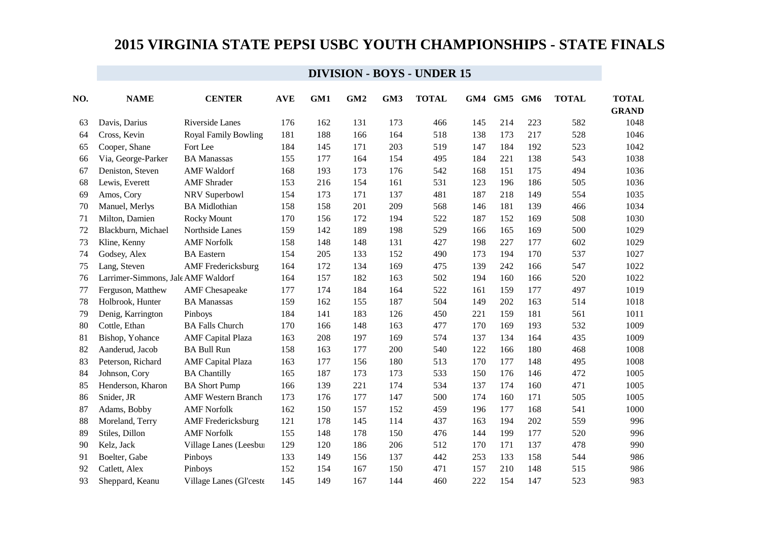| NO. | <b>NAME</b>                        | <b>CENTER</b>               | <b>AVE</b> | GM1 | GM <sub>2</sub> | GM3 | <b>TOTAL</b> | GM4 | GM5 | GM <sub>6</sub> | <b>TOTAL</b> | <b>TOTAL</b> |
|-----|------------------------------------|-----------------------------|------------|-----|-----------------|-----|--------------|-----|-----|-----------------|--------------|--------------|
|     |                                    |                             |            |     |                 |     |              |     |     |                 |              | <b>GRAND</b> |
| 63  | Davis, Darius                      | Riverside Lanes             | 176        | 162 | 131             | 173 | 466          | 145 | 214 | 223             | 582          | 1048         |
| 64  | Cross, Kevin                       | <b>Royal Family Bowling</b> | 181        | 188 | 166             | 164 | 518          | 138 | 173 | 217             | 528          | 1046         |
| 65  | Cooper, Shane                      | Fort Lee                    | 184        | 145 | 171             | 203 | 519          | 147 | 184 | 192             | 523          | 1042         |
| 66  | Via, George-Parker                 | <b>BA Manassas</b>          | 155        | 177 | 164             | 154 | 495          | 184 | 221 | 138             | 543          | 1038         |
| 67  | Deniston, Steven                   | <b>AMF</b> Waldorf          | 168        | 193 | 173             | 176 | 542          | 168 | 151 | 175             | 494          | 1036         |
| 68  | Lewis, Everett                     | <b>AMF</b> Shrader          | 153        | 216 | 154             | 161 | 531          | 123 | 196 | 186             | 505          | 1036         |
| 69  | Amos, Cory                         | NRV Superbowl               | 154        | 173 | 171             | 137 | 481          | 187 | 218 | 149             | 554          | 1035         |
| 70  | Manuel, Merlys                     | <b>BA</b> Midlothian        | 158        | 158 | 201             | 209 | 568          | 146 | 181 | 139             | 466          | 1034         |
| 71  | Milton, Damien                     | Rocky Mount                 | 170        | 156 | 172             | 194 | 522          | 187 | 152 | 169             | 508          | 1030         |
| 72  | Blackburn, Michael                 | Northside Lanes             | 159        | 142 | 189             | 198 | 529          | 166 | 165 | 169             | 500          | 1029         |
| 73  | Kline, Kenny                       | <b>AMF Norfolk</b>          | 158        | 148 | 148             | 131 | 427          | 198 | 227 | 177             | 602          | 1029         |
| 74  | Godsey, Alex                       | <b>BA</b> Eastern           | 154        | 205 | 133             | 152 | 490          | 173 | 194 | 170             | 537          | 1027         |
| 75  | Lang, Steven                       | <b>AMF</b> Fredericksburg   | 164        | 172 | 134             | 169 | 475          | 139 | 242 | 166             | 547          | 1022         |
| 76  | Larrimer-Simmons, Jale AMF Waldorf |                             | 164        | 157 | 182             | 163 | 502          | 194 | 160 | 166             | 520          | 1022         |
| 77  | Ferguson, Matthew                  | <b>AMF</b> Chesapeake       | 177        | 174 | 184             | 164 | 522          | 161 | 159 | 177             | 497          | 1019         |
| 78  | Holbrook, Hunter                   | <b>BA Manassas</b>          | 159        | 162 | 155             | 187 | 504          | 149 | 202 | 163             | 514          | 1018         |
| 79  | Denig, Karrington                  | Pinboys                     | 184        | 141 | 183             | 126 | 450          | 221 | 159 | 181             | 561          | 1011         |
| 80  | Cottle, Ethan                      | <b>BA Falls Church</b>      | 170        | 166 | 148             | 163 | 477          | 170 | 169 | 193             | 532          | 1009         |
| 81  | Bishop, Yohance                    | <b>AMF</b> Capital Plaza    | 163        | 208 | 197             | 169 | 574          | 137 | 134 | 164             | 435          | 1009         |
| 82  | Aanderud, Jacob                    | <b>BA Bull Run</b>          | 158        | 163 | 177             | 200 | 540          | 122 | 166 | 180             | 468          | 1008         |
| 83  | Peterson, Richard                  | <b>AMF</b> Capital Plaza    | 163        | 177 | 156             | 180 | 513          | 170 | 177 | 148             | 495          | 1008         |
| 84  | Johnson, Cory                      | <b>BA Chantilly</b>         | 165        | 187 | 173             | 173 | 533          | 150 | 176 | 146             | 472          | 1005         |
| 85  | Henderson, Kharon                  | <b>BA Short Pump</b>        | 166        | 139 | 221             | 174 | 534          | 137 | 174 | 160             | 471          | 1005         |
| 86  | Snider, JR                         | <b>AMF Western Branch</b>   | 173        | 176 | 177             | 147 | 500          | 174 | 160 | 171             | 505          | 1005         |
| 87  | Adams, Bobby                       | <b>AMF Norfolk</b>          | 162        | 150 | 157             | 152 | 459          | 196 | 177 | 168             | 541          | 1000         |
| 88  | Moreland, Terry                    | <b>AMF</b> Fredericksburg   | 121        | 178 | 145             | 114 | 437          | 163 | 194 | 202             | 559          | 996          |
| 89  | Stiles, Dillon                     | <b>AMF Norfolk</b>          | 155        | 148 | 178             | 150 | 476          | 144 | 199 | 177             | 520          | 996          |
| 90  | Kelz, Jack                         | Village Lanes (Leesbur      | 129        | 120 | 186             | 206 | 512          | 170 | 171 | 137             | 478          | 990          |
| 91  | Boelter, Gabe                      | Pinboys                     | 133        | 149 | 156             | 137 | 442          | 253 | 133 | 158             | 544          | 986          |
| 92  | Catlett, Alex                      | Pinboys                     | 152        | 154 | 167             | 150 | 471          | 157 | 210 | 148             | 515          | 986          |
| 93  | Sheppard, Keanu                    | Village Lanes (Gl'ceste     | 145        | 149 | 167             | 144 | 460          | 222 | 154 | 147             | 523          | 983          |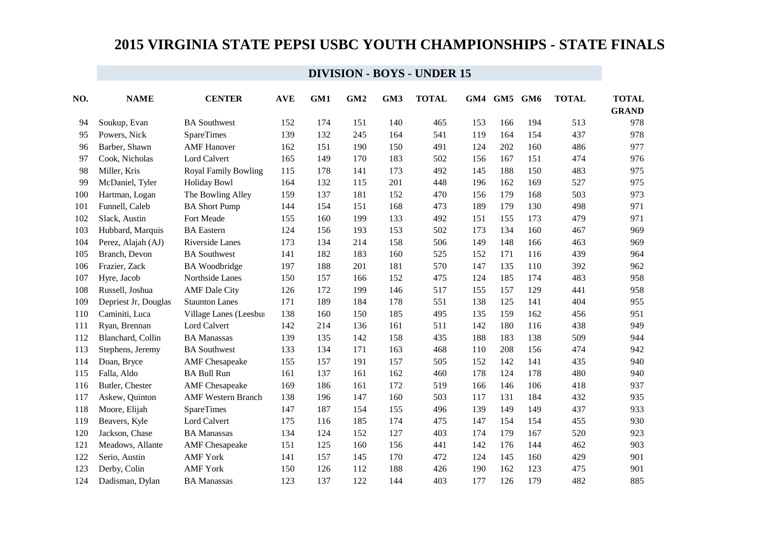| NO. | <b>NAME</b>          | <b>CENTER</b>               | <b>AVE</b> | GM1 | GM <sub>2</sub> | GM3 | <b>TOTAL</b> | GM4 | GM5 | GM6 | <b>TOTAL</b> | <b>TOTAL</b> |
|-----|----------------------|-----------------------------|------------|-----|-----------------|-----|--------------|-----|-----|-----|--------------|--------------|
|     |                      |                             |            |     |                 |     |              |     |     |     |              | <b>GRAND</b> |
| 94  | Soukup, Evan         | <b>BA</b> Southwest         | 152        | 174 | 151             | 140 | 465          | 153 | 166 | 194 | 513          | 978          |
| 95  | Powers, Nick         | <b>SpareTimes</b>           | 139        | 132 | 245             | 164 | 541          | 119 | 164 | 154 | 437          | 978          |
| 96  | Barber, Shawn        | <b>AMF</b> Hanover          | 162        | 151 | 190             | 150 | 491          | 124 | 202 | 160 | 486          | 977          |
| 97  | Cook, Nicholas       | Lord Calvert                | 165        | 149 | 170             | 183 | 502          | 156 | 167 | 151 | 474          | 976          |
| 98  | Miller, Kris         | <b>Royal Family Bowling</b> | 115        | 178 | 141             | 173 | 492          | 145 | 188 | 150 | 483          | 975          |
| 99  | McDaniel, Tyler      | <b>Holiday Bowl</b>         | 164        | 132 | 115             | 201 | 448          | 196 | 162 | 169 | 527          | 975          |
| 100 | Hartman, Logan       | The Bowling Alley           | 159        | 137 | 181             | 152 | 470          | 156 | 179 | 168 | 503          | 973          |
| 101 | Funnell, Caleb       | <b>BA Short Pump</b>        | 144        | 154 | 151             | 168 | 473          | 189 | 179 | 130 | 498          | 971          |
| 102 | Slack, Austin        | Fort Meade                  | 155        | 160 | 199             | 133 | 492          | 151 | 155 | 173 | 479          | 971          |
| 103 | Hubbard, Marquis     | <b>BA</b> Eastern           | 124        | 156 | 193             | 153 | 502          | 173 | 134 | 160 | 467          | 969          |
| 104 | Perez, Alajah (AJ)   | Riverside Lanes             | 173        | 134 | 214             | 158 | 506          | 149 | 148 | 166 | 463          | 969          |
| 105 | Branch, Devon        | <b>BA</b> Southwest         | 141        | 182 | 183             | 160 | 525          | 152 | 171 | 116 | 439          | 964          |
| 106 | Frazier, Zack        | <b>BA</b> Woodbridge        | 197        | 188 | 201             | 181 | 570          | 147 | 135 | 110 | 392          | 962          |
| 107 | Hyre, Jacob          | Northside Lanes             | 150        | 157 | 166             | 152 | 475          | 124 | 185 | 174 | 483          | 958          |
| 108 | Russell, Joshua      | <b>AMF</b> Dale City        | 126        | 172 | 199             | 146 | 517          | 155 | 157 | 129 | 441          | 958          |
| 109 | Depriest Jr, Douglas | <b>Staunton Lanes</b>       | 171        | 189 | 184             | 178 | 551          | 138 | 125 | 141 | 404          | 955          |
| 110 | Caminiti, Luca       | Village Lanes (Leesbur      | 138        | 160 | 150             | 185 | 495          | 135 | 159 | 162 | 456          | 951          |
| 111 | Ryan, Brennan        | Lord Calvert                | 142        | 214 | 136             | 161 | 511          | 142 | 180 | 116 | 438          | 949          |
| 112 | Blanchard, Collin    | <b>BA Manassas</b>          | 139        | 135 | 142             | 158 | 435          | 188 | 183 | 138 | 509          | 944          |
| 113 | Stephens, Jeremy     | <b>BA</b> Southwest         | 133        | 134 | 171             | 163 | 468          | 110 | 208 | 156 | 474          | 942          |
| 114 | Doan, Bryce          | <b>AMF</b> Chesapeake       | 155        | 157 | 191             | 157 | 505          | 152 | 142 | 141 | 435          | 940          |
| 115 | Falla, Aldo          | <b>BA Bull Run</b>          | 161        | 137 | 161             | 162 | 460          | 178 | 124 | 178 | 480          | 940          |
| 116 | Butler, Chester      | <b>AMF</b> Chesapeake       | 169        | 186 | 161             | 172 | 519          | 166 | 146 | 106 | 418          | 937          |
| 117 | Askew, Quinton       | <b>AMF Western Branch</b>   | 138        | 196 | 147             | 160 | 503          | 117 | 131 | 184 | 432          | 935          |
| 118 | Moore, Elijah        | <b>SpareTimes</b>           | 147        | 187 | 154             | 155 | 496          | 139 | 149 | 149 | 437          | 933          |
| 119 | Beavers, Kyle        | Lord Calvert                | 175        | 116 | 185             | 174 | 475          | 147 | 154 | 154 | 455          | 930          |
| 120 | Jackson, Chase       | <b>BA</b> Manassas          | 134        | 124 | 152             | 127 | 403          | 174 | 179 | 167 | 520          | 923          |
| 121 | Meadows, Allante     | <b>AMF</b> Chesapeake       | 151        | 125 | 160             | 156 | 441          | 142 | 176 | 144 | 462          | 903          |
| 122 | Serio, Austin        | <b>AMF York</b>             | 141        | 157 | 145             | 170 | 472          | 124 | 145 | 160 | 429          | 901          |
| 123 | Derby, Colin         | <b>AMF York</b>             | 150        | 126 | 112             | 188 | 426          | 190 | 162 | 123 | 475          | 901          |
| 124 | Dadisman, Dylan      | <b>BA</b> Manassas          | 123        | 137 | 122             | 144 | 403          | 177 | 126 | 179 | 482          | 885          |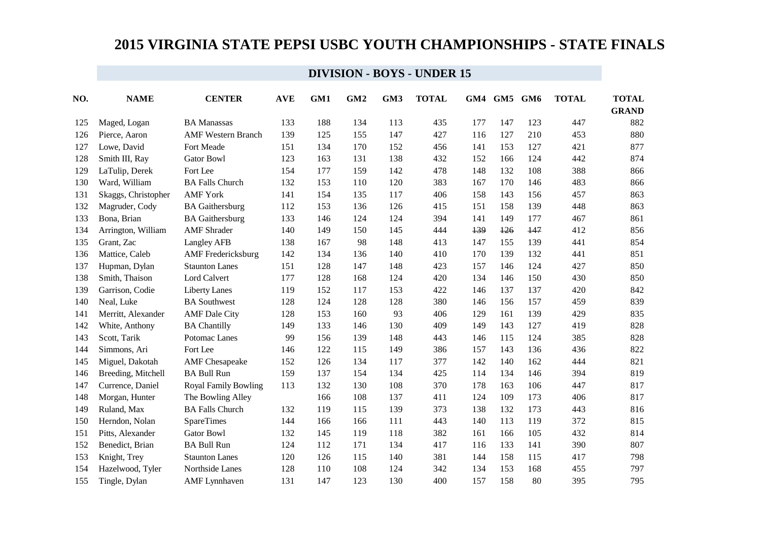| NO. | <b>NAME</b>         | <b>CENTER</b>               | <b>AVE</b> | GM1 | GM <sub>2</sub> | GM3 | <b>TOTAL</b> | GM4 | GM5 | GM6 | <b>TOTAL</b> | <b>TOTAL</b> |
|-----|---------------------|-----------------------------|------------|-----|-----------------|-----|--------------|-----|-----|-----|--------------|--------------|
|     |                     |                             |            |     |                 |     |              |     |     |     |              | <b>GRAND</b> |
| 125 | Maged, Logan        | <b>BA</b> Manassas          | 133        | 188 | 134             | 113 | 435          | 177 | 147 | 123 | 447          | 882          |
| 126 | Pierce, Aaron       | <b>AMF Western Branch</b>   | 139        | 125 | 155             | 147 | 427          | 116 | 127 | 210 | 453          | 880          |
| 127 | Lowe, David         | Fort Meade                  | 151        | 134 | 170             | 152 | 456          | 141 | 153 | 127 | 421          | 877          |
| 128 | Smith III, Ray      | <b>Gator Bowl</b>           | 123        | 163 | 131             | 138 | 432          | 152 | 166 | 124 | 442          | 874          |
| 129 | LaTulip, Derek      | Fort Lee                    | 154        | 177 | 159             | 142 | 478          | 148 | 132 | 108 | 388          | 866          |
| 130 | Ward, William       | <b>BA Falls Church</b>      | 132        | 153 | 110             | 120 | 383          | 167 | 170 | 146 | 483          | 866          |
| 131 | Skaggs, Christopher | <b>AMF York</b>             | 141        | 154 | 135             | 117 | 406          | 158 | 143 | 156 | 457          | 863          |
| 132 | Magruder, Cody      | <b>BA</b> Gaithersburg      | 112        | 153 | 136             | 126 | 415          | 151 | 158 | 139 | 448          | 863          |
| 133 | Bona, Brian         | <b>BA</b> Gaithersburg      | 133        | 146 | 124             | 124 | 394          | 141 | 149 | 177 | 467          | 861          |
| 134 | Arrington, William  | <b>AMF</b> Shrader          | 140        | 149 | 150             | 145 | 444          | 139 | 126 | 147 | 412          | 856          |
| 135 | Grant, Zac          | Langley AFB                 | 138        | 167 | 98              | 148 | 413          | 147 | 155 | 139 | 441          | 854          |
| 136 | Mattice, Caleb      | <b>AMF</b> Fredericksburg   | 142        | 134 | 136             | 140 | 410          | 170 | 139 | 132 | 441          | 851          |
| 137 | Hupman, Dylan       | <b>Staunton Lanes</b>       | 151        | 128 | 147             | 148 | 423          | 157 | 146 | 124 | 427          | 850          |
| 138 | Smith, Thaison      | Lord Calvert                | 177        | 128 | 168             | 124 | 420          | 134 | 146 | 150 | 430          | 850          |
| 139 | Garrison, Codie     | <b>Liberty Lanes</b>        | 119        | 152 | 117             | 153 | 422          | 146 | 137 | 137 | 420          | 842          |
| 140 | Neal, Luke          | <b>BA Southwest</b>         | 128        | 124 | 128             | 128 | 380          | 146 | 156 | 157 | 459          | 839          |
| 141 | Merritt, Alexander  | <b>AMF</b> Dale City        | 128        | 153 | 160             | 93  | 406          | 129 | 161 | 139 | 429          | 835          |
| 142 | White, Anthony      | <b>BA Chantilly</b>         | 149        | 133 | 146             | 130 | 409          | 149 | 143 | 127 | 419          | 828          |
| 143 | Scott, Tarik        | Potomac Lanes               | 99         | 156 | 139             | 148 | 443          | 146 | 115 | 124 | 385          | 828          |
| 144 | Simmons, Ari        | Fort Lee                    | 146        | 122 | 115             | 149 | 386          | 157 | 143 | 136 | 436          | 822          |
| 145 | Miguel, Dakotah     | <b>AMF</b> Chesapeake       | 152        | 126 | 134             | 117 | 377          | 142 | 140 | 162 | 444          | 821          |
| 146 | Breeding, Mitchell  | <b>BA Bull Run</b>          | 159        | 137 | 154             | 134 | 425          | 114 | 134 | 146 | 394          | 819          |
| 147 | Currence, Daniel    | <b>Royal Family Bowling</b> | 113        | 132 | 130             | 108 | 370          | 178 | 163 | 106 | 447          | 817          |
| 148 | Morgan, Hunter      | The Bowling Alley           |            | 166 | 108             | 137 | 411          | 124 | 109 | 173 | 406          | 817          |
| 149 | Ruland, Max         | <b>BA Falls Church</b>      | 132        | 119 | 115             | 139 | 373          | 138 | 132 | 173 | 443          | 816          |
| 150 | Herndon, Nolan      | <b>SpareTimes</b>           | 144        | 166 | 166             | 111 | 443          | 140 | 113 | 119 | 372          | 815          |
| 151 | Pitts, Alexander    | <b>Gator Bowl</b>           | 132        | 145 | 119             | 118 | 382          | 161 | 166 | 105 | 432          | 814          |
| 152 | Benedict, Brian     | <b>BA Bull Run</b>          | 124        | 112 | 171             | 134 | 417          | 116 | 133 | 141 | 390          | 807          |
| 153 | Knight, Trey        | <b>Staunton Lanes</b>       | 120        | 126 | 115             | 140 | 381          | 144 | 158 | 115 | 417          | 798          |
| 154 | Hazelwood, Tyler    | Northside Lanes             | 128        | 110 | 108             | 124 | 342          | 134 | 153 | 168 | 455          | 797          |
| 155 | Tingle, Dylan       | <b>AMF</b> Lynnhaven        | 131        | 147 | 123             | 130 | 400          | 157 | 158 | 80  | 395          | 795          |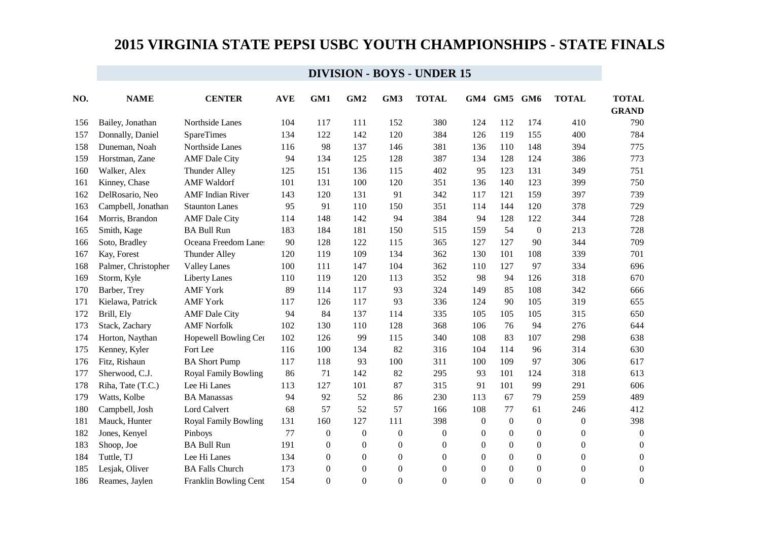| NO. | <b>NAME</b>         | <b>CENTER</b>               | <b>AVE</b> | GM1              | GM <sub>2</sub>  | GM3              | <b>TOTAL</b>     | GM4            | GM5              | GM <sub>6</sub>  | <b>TOTAL</b>     | <b>TOTAL</b>     |
|-----|---------------------|-----------------------------|------------|------------------|------------------|------------------|------------------|----------------|------------------|------------------|------------------|------------------|
|     |                     |                             |            |                  |                  |                  |                  |                |                  |                  |                  | <b>GRAND</b>     |
| 156 | Bailey, Jonathan    | Northside Lanes             | 104        | 117              | 111              | 152              | 380              | 124            | 112              | 174              | 410              | 790              |
| 157 | Donnally, Daniel    | <b>SpareTimes</b>           | 134        | 122              | 142              | 120              | 384              | 126            | 119              | 155              | 400              | 784              |
| 158 | Duneman, Noah       | Northside Lanes             | 116        | 98               | 137              | 146              | 381              | 136            | 110              | 148              | 394              | 775              |
| 159 | Horstman, Zane      | <b>AMF</b> Dale City        | 94         | 134              | 125              | 128              | 387              | 134            | 128              | 124              | 386              | 773              |
| 160 | Walker, Alex        | <b>Thunder Alley</b>        | 125        | 151              | 136              | 115              | 402              | 95             | 123              | 131              | 349              | 751              |
| 161 | Kinney, Chase       | <b>AMF</b> Waldorf          | 101        | 131              | 100              | 120              | 351              | 136            | 140              | 123              | 399              | 750              |
| 162 | DelRosario, Neo     | <b>AMF</b> Indian River     | 143        | 120              | 131              | 91               | 342              | 117            | 121              | 159              | 397              | 739              |
| 163 | Campbell, Jonathan  | <b>Staunton Lanes</b>       | 95         | 91               | 110              | 150              | 351              | 114            | 144              | 120              | 378              | 729              |
| 164 | Morris, Brandon     | <b>AMF</b> Dale City        | 114        | 148              | 142              | 94               | 384              | 94             | 128              | 122              | 344              | 728              |
| 165 | Smith, Kage         | <b>BA Bull Run</b>          | 183        | 184              | 181              | 150              | 515              | 159            | 54               | $\boldsymbol{0}$ | 213              | 728              |
| 166 | Soto, Bradley       | Oceana Freedom Lane:        | 90         | 128              | 122              | 115              | 365              | 127            | 127              | 90               | 344              | 709              |
| 167 | Kay, Forest         | Thunder Alley               | 120        | 119              | 109              | 134              | 362              | 130            | 101              | 108              | 339              | 701              |
| 168 | Palmer, Christopher | <b>Valley Lanes</b>         | 100        | 111              | 147              | 104              | 362              | 110            | 127              | 97               | 334              | 696              |
| 169 | Storm, Kyle         | <b>Liberty Lanes</b>        | 110        | 119              | 120              | 113              | 352              | 98             | 94               | 126              | 318              | 670              |
| 170 | Barber, Trey        | <b>AMF York</b>             | 89         | 114              | 117              | 93               | 324              | 149            | 85               | 108              | 342              | 666              |
| 171 | Kielawa, Patrick    | <b>AMF York</b>             | 117        | 126              | 117              | 93               | 336              | 124            | 90               | 105              | 319              | 655              |
| 172 | Brill, Ely          | <b>AMF</b> Dale City        | 94         | 84               | 137              | 114              | 335              | 105            | 105              | 105              | 315              | 650              |
| 173 | Stack, Zachary      | <b>AMF Norfolk</b>          | 102        | 130              | 110              | 128              | 368              | 106            | 76               | 94               | 276              | 644              |
| 174 | Horton, Naythan     | Hopewell Bowling Cer        | 102        | 126              | 99               | 115              | 340              | 108            | 83               | 107              | 298              | 638              |
| 175 | Kenney, Kyler       | Fort Lee                    | 116        | 100              | 134              | 82               | 316              | 104            | 114              | 96               | 314              | 630              |
| 176 | Fitz, Rishaun       | <b>BA Short Pump</b>        | 117        | 118              | 93               | 100              | 311              | 100            | 109              | 97               | 306              | 617              |
| 177 | Sherwood, C.J.      | <b>Royal Family Bowling</b> | 86         | 71               | 142              | 82               | 295              | 93             | 101              | 124              | 318              | 613              |
| 178 | Riha, Tate (T.C.)   | Lee Hi Lanes                | 113        | 127              | 101              | 87               | 315              | 91             | 101              | 99               | 291              | 606              |
| 179 | Watts, Kolbe        | <b>BA Manassas</b>          | 94         | 92               | 52               | 86               | 230              | 113            | 67               | 79               | 259              | 489              |
| 180 | Campbell, Josh      | Lord Calvert                | 68         | 57               | 52               | 57               | 166              | 108            | 77               | 61               | 246              | 412              |
| 181 | Mauck, Hunter       | <b>Royal Family Bowling</b> | 131        | 160              | 127              | 111              | 398              | $\overline{0}$ | $\boldsymbol{0}$ | $\boldsymbol{0}$ | $\boldsymbol{0}$ | 398              |
| 182 | Jones, Kenyel       | Pinboys                     | 77         | $\overline{0}$   | $\boldsymbol{0}$ | $\boldsymbol{0}$ | $\boldsymbol{0}$ | $\theta$       | $\overline{0}$   | $\boldsymbol{0}$ | $\boldsymbol{0}$ | $\boldsymbol{0}$ |
| 183 | Shoop, Joe          | <b>BA Bull Run</b>          | 191        | $\mathbf{0}$     | $\boldsymbol{0}$ | $\boldsymbol{0}$ | $\boldsymbol{0}$ | $\overline{0}$ | $\overline{0}$   | $\boldsymbol{0}$ | $\boldsymbol{0}$ | $\boldsymbol{0}$ |
| 184 | Tuttle, TJ          | Lee Hi Lanes                | 134        | $\boldsymbol{0}$ | $\boldsymbol{0}$ | $\boldsymbol{0}$ | $\boldsymbol{0}$ | $\overline{0}$ | $\theta$         | $\boldsymbol{0}$ | $\boldsymbol{0}$ | $\boldsymbol{0}$ |
| 185 | Lesjak, Oliver      | <b>BA Falls Church</b>      | 173        | $\overline{0}$   | $\boldsymbol{0}$ | $\boldsymbol{0}$ | $\boldsymbol{0}$ | $\overline{0}$ | $\theta$         | $\boldsymbol{0}$ | $\boldsymbol{0}$ | $\boldsymbol{0}$ |
| 186 | Reames, Jaylen      | Franklin Bowling Cent       | 154        | $\boldsymbol{0}$ | $\boldsymbol{0}$ | $\boldsymbol{0}$ | $\boldsymbol{0}$ | $\Omega$       | $\Omega$         | $\boldsymbol{0}$ | $\boldsymbol{0}$ | $\boldsymbol{0}$ |